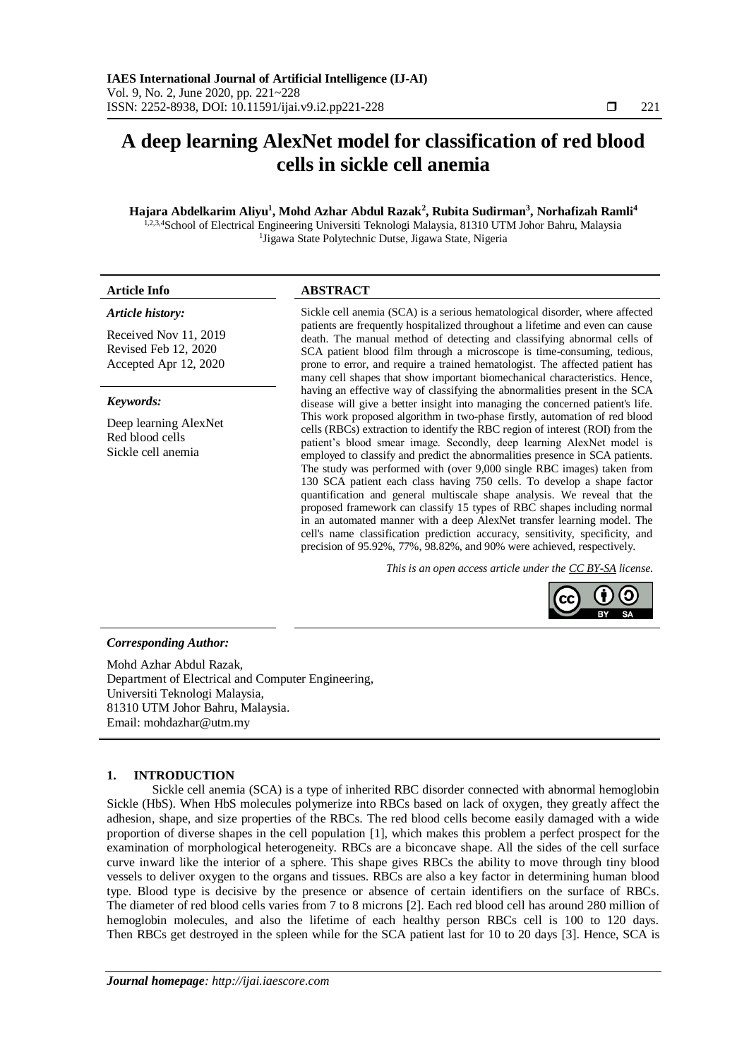# **A deep learning AlexNet model for classification of red blood cells in sickle cell anemia**

# **Hajara Abdelkarim Aliyu<sup>1</sup> , Mohd Azhar Abdul Razak<sup>2</sup> , Rubita Sudirman<sup>3</sup> , Norhafizah Ramli<sup>4</sup>**

<sup>1,2,3,4</sup>School of Electrical Engineering Universiti Teknologi Malaysia, 81310 UTM Johor Bahru, Malaysia <sup>1</sup>Jigawa State Polytechnic Dutse, Jigawa State, Nigeria

| Article Info                                                                               | <b>ABSTRACT</b>                                                                                                                                                                                                                                                                                                                                                                                                                                                                                                                                                                                                                                                                                                                                                                                                                                                       |  |  |  |
|--------------------------------------------------------------------------------------------|-----------------------------------------------------------------------------------------------------------------------------------------------------------------------------------------------------------------------------------------------------------------------------------------------------------------------------------------------------------------------------------------------------------------------------------------------------------------------------------------------------------------------------------------------------------------------------------------------------------------------------------------------------------------------------------------------------------------------------------------------------------------------------------------------------------------------------------------------------------------------|--|--|--|
| Article history:<br>Received Nov 11, 2019<br>Revised Feb 12, 2020<br>Accepted Apr 12, 2020 | Sickle cell anemia (SCA) is a serious hematological disorder, where affected<br>patients are frequently hospitalized throughout a lifetime and even can cause<br>death. The manual method of detecting and classifying abnormal cells of<br>SCA patient blood film through a microscope is time-consuming, tedious,<br>prone to error, and require a trained hematologist. The affected patient has<br>many cell shapes that show important biomechanical characteristics. Hence,                                                                                                                                                                                                                                                                                                                                                                                     |  |  |  |
| Keywords:                                                                                  | having an effective way of classifying the abnormalities present in the SCA<br>disease will give a better insight into managing the concerned patient's life.                                                                                                                                                                                                                                                                                                                                                                                                                                                                                                                                                                                                                                                                                                         |  |  |  |
| Deep learning AlexNet<br>Red blood cells<br>Sickle cell anemia                             | This work proposed algorithm in two-phase firstly, automation of red blood<br>cells (RBCs) extraction to identify the RBC region of interest (ROI) from the<br>patient's blood smear image. Secondly, deep learning AlexNet model is<br>employed to classify and predict the abnormalities presence in SCA patients.<br>The study was performed with (over 9,000 single RBC images) taken from<br>130 SCA patient each class having 750 cells. To develop a shape factor<br>quantification and general multiscale shape analysis. We reveal that the<br>proposed framework can classify 15 types of RBC shapes including normal<br>in an automated manner with a deep AlexNet transfer learning model. The<br>cell's name classification prediction accuracy, sensitivity, specificity, and<br>precision of 95.92%, 77%, 98.82%, and 90% were achieved, respectively. |  |  |  |
|                                                                                            | This is an open access article under the CC BY-SA license.                                                                                                                                                                                                                                                                                                                                                                                                                                                                                                                                                                                                                                                                                                                                                                                                            |  |  |  |

# *Corresponding Author:*

Mohd Azhar Abdul Razak, Department of Electrical and Computer Engineering, Universiti Teknologi Malaysia, 81310 UTM Johor Bahru, Malaysia. Email: mohdazhar@utm.my

# **1. INTRODUCTION**

Sickle cell anemia (SCA) is a type of inherited RBC disorder connected with abnormal hemoglobin Sickle (HbS). When HbS molecules polymerize into RBCs based on lack of oxygen, they greatly affect the adhesion, shape, and size properties of the RBCs. The red blood cells become easily damaged with a wide proportion of diverse shapes in the cell population [1], which makes this problem a perfect prospect for the examination of morphological heterogeneity. RBCs are a biconcave shape. All the sides of the cell surface curve inward like the interior of a sphere. This shape gives RBCs the ability to move through tiny blood vessels to deliver oxygen to the [organs](https://www.thoughtco.com/organ-systems-373571) and tissues. RBCs are also a key factor in determining human blood type. Blood type is decisive by the presence or absence of certain identifiers on the surface of RBCs. The diameter of red blood cells varies from 7 to 8 microns [2]. Each red blood cell has around 280 million of hemoglobin molecules, and also the lifetime of each healthy person RBCs cell is 100 to 120 days. Then RBCs get destroyed in the spleen while for the SCA patient last for 10 to 20 days [3]. Hence, SCA is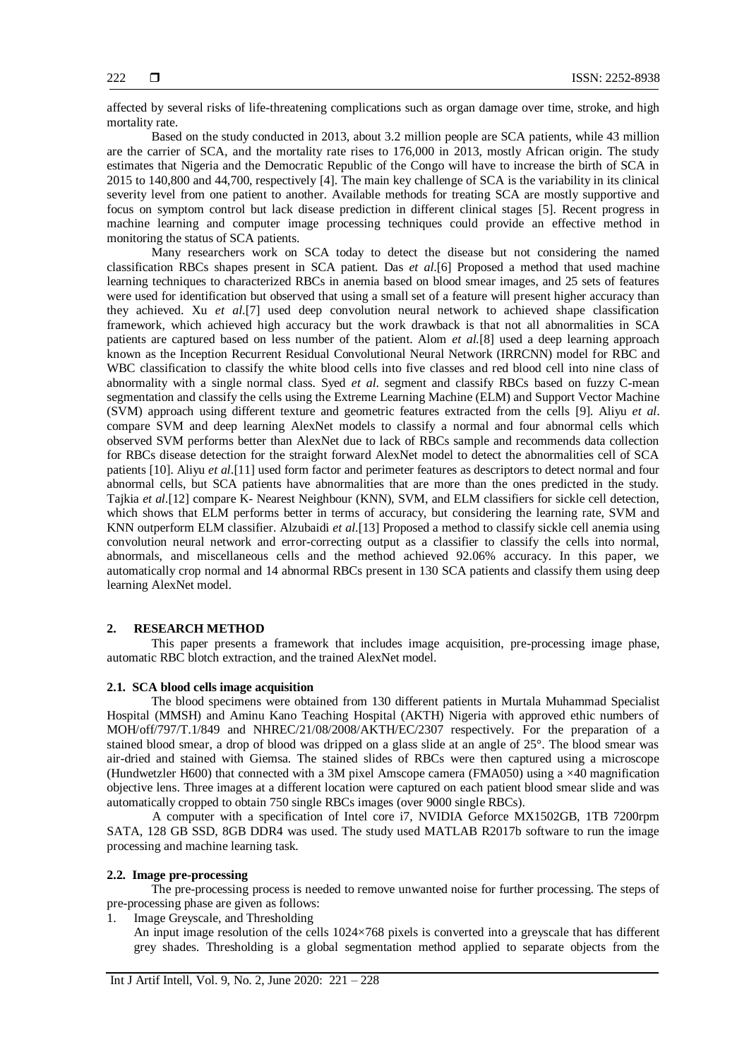affected by several risks of life-threatening complications such as organ damage over time, stroke, and high mortality rate.

Based on the study conducted in 2013, about 3.2 million people are SCA patients, while 43 million are the carrier of SCA, and the mortality rate rises to 176,000 in 2013, mostly African origin. The study estimates that Nigeria and the Democratic Republic of the Congo will have to increase the birth of SCA in 2015 to 140,800 and 44,700, respectively [4]. The main key challenge of SCA is the variability in its clinical severity level from one patient to another. Available methods for treating SCA are mostly supportive and focus on symptom control but lack disease prediction in different clinical stages [5]. Recent progress in machine learning and computer image processing techniques could provide an effective method in monitoring the status of SCA patients.

Many researchers work on SCA today to detect the disease but not considering the named classification RBCs shapes present in SCA patient. Das *et al*.[6] Proposed a method that used machine learning techniques to characterized RBCs in anemia based on blood smear images, and 25 sets of features were used for identification but observed that using a small set of a feature will present higher accuracy than they achieved. Xu *et al*.[7] used deep convolution neural network to achieved shape classification framework, which achieved high accuracy but the work drawback is that not all abnormalities in SCA patients are captured based on less number of the patient. Alom *et al.*[8] used a deep learning approach known as the Inception Recurrent Residual Convolutional Neural Network (IRRCNN) model for RBC and WBC classification to classify the white blood cells into five classes and red blood cell into nine class of abnormality with a single normal class. Syed *et al*. segment and classify RBCs based on fuzzy C-mean segmentation and classify the cells using the Extreme Learning Machine (ELM) and Support Vector Machine (SVM) approach using different texture and geometric features extracted from the cells [9]. Aliyu *et al*. compare SVM and deep learning AlexNet models to classify a normal and four abnormal cells which observed SVM performs better than AlexNet due to lack of RBCs sample and recommends data collection for RBCs disease detection for the straight forward AlexNet model to detect the abnormalities cell of SCA patients [10]. Aliyu *et al*.[11] used form factor and perimeter features as descriptors to detect normal and four abnormal cells, but SCA patients have abnormalities that are more than the ones predicted in the study. Tajkia *et al*.[12] compare K- Nearest Neighbour (KNN), SVM, and ELM classifiers for sickle cell detection, which shows that ELM performs better in terms of accuracy, but considering the learning rate, SVM and KNN outperform ELM classifier. Alzubaidi *et al*.[13] Proposed a method to classify sickle cell anemia using convolution neural network and error-correcting output as a classifier to classify the cells into normal, abnormals, and miscellaneous cells and the method achieved 92.06% accuracy. In this paper, we automatically crop normal and 14 abnormal RBCs present in 130 SCA patients and classify them using deep learning AlexNet model.

## **2. RESEARCH METHOD**

This paper presents a framework that includes image acquisition, pre-processing image phase, automatic RBC blotch extraction, and the trained AlexNet model.

# **2.1. SCA blood cells image acquisition**

The blood specimens were obtained from 130 different patients in Murtala Muhammad Specialist Hospital (MMSH) and Aminu Kano Teaching Hospital (AKTH) Nigeria with approved ethic numbers of MOH/off/797/T.1/849 and NHREC/21/08/2008/AKTH/EC/2307 respectively. For the preparation of a stained blood smear, a drop of blood was dripped on a glass slide at an angle of 25°. The blood smear was air-dried and stained with Giemsa. The stained slides of RBCs were then captured using a microscope (Hundwetzler H600) that connected with a 3M pixel Amscope camera (FMA050) using a  $\times$ 40 magnification objective lens. Three images at a different location were captured on each patient blood smear slide and was automatically cropped to obtain 750 single RBCs images (over 9000 single RBCs).

A computer with a specification of Intel core i7, NVIDIA Geforce MX1502GB, 1TB 7200rpm SATA, 128 GB SSD, 8GB DDR4 was used. The study used MATLAB R2017b software to run the image processing and machine learning task.

#### **2.2. Image pre-processing**

The pre-processing process is needed to remove unwanted noise for further processing. The steps of pre-processing phase are given as follows:

1. Image Greyscale, and Thresholding

An input image resolution of the cells 1024×768 pixels is converted into a greyscale that has different grey shades. Thresholding is a global segmentation method applied to separate objects from the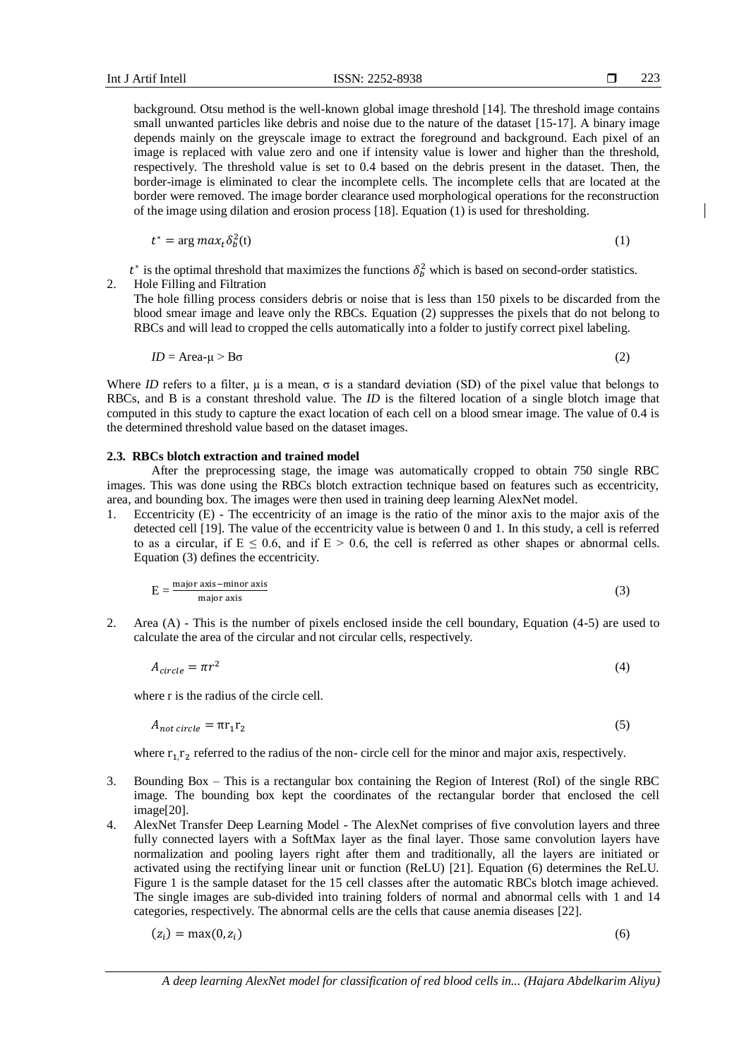background. Otsu method is the well-known global image threshold [14]. The threshold image contains small unwanted particles like debris and noise due to the nature of the dataset [15-17]. A binary image depends mainly on the greyscale image to extract the foreground and background. Each pixel of an image is replaced with value zero and one if intensity value is lower and higher than the threshold, respectively. The threshold value is set to 0.4 based on the debris present in the dataset. Then, the border-image is eliminated to clear the incomplete cells. The incomplete cells that are located at the border were removed. The image border clearance used morphological operations for the reconstruction of the image using dilation and erosion process [18]. Equation (1) is used for thresholding.

$$
t^* = \arg \max_t \delta_b^2(t) \tag{1}
$$

 $t^*$  is the optimal threshold that maximizes the functions  $\delta_b^2$  which is based on second-order statistics. 2. Hole Filling and Filtration

The hole filling process considers debris or noise that is less than 150 pixels to be discarded from the blood smear image and leave only the RBCs. Equation (2) suppresses the pixels that do not belong to RBCs and will lead to cropped the cells automatically into a folder to justify correct pixel labeling.

$$
ID = \text{Area-}\mu > \text{B}\sigma \tag{2}
$$

Where *ID* refers to a filter,  $\mu$  is a mean,  $\sigma$  is a standard deviation (SD) of the pixel value that belongs to RBCs, and B is a constant threshold value. The *ID* is the filtered location of a single blotch image that computed in this study to capture the exact location of each cell on a blood smear image. The value of 0.4 is the determined threshold value based on the dataset images.

#### **2.3. RBCs blotch extraction and trained model**

After the preprocessing stage, the image was automatically cropped to obtain 750 single RBC images. This was done using the RBCs blotch extraction technique based on features such as eccentricity, area, and bounding box. The images were then used in training deep learning AlexNet model.

1. Eccentricity (E) - The eccentricity of an image is the ratio of the minor axis to the major axis of the detected cell [19]. The value of the eccentricity value is between 0 and 1. In this study, a cell is referred to as a circular, if  $E \le 0.6$ , and if  $E > 0.6$ , the cell is referred as other shapes or abnormal cells. Equation (3) defines the eccentricity.

$$
E = \frac{\text{major axis} - \text{minor axis}}{\text{major axis}}
$$
 (3)

2. Area (A) - This is the number of pixels enclosed inside the cell boundary, Equation (4-5) are used to calculate the area of the circular and not circular cells, respectively.

$$
A_{circle} = \pi r^2 \tag{4}
$$

where r is the radius of the circle cell.

$$
A_{\text{not circle}} = \pi r_1 r_2
$$

where  $r_1, r_2$  referred to the radius of the non- circle cell for the minor and major axis, respectively.

- 3. Bounding Box This is a rectangular box containing the Region of Interest (RoI) of the single RBC image. The bounding box kept the coordinates of the rectangular border that enclosed the cell image[20].
- 4. AlexNet Transfer Deep Learning Model The AlexNet comprises of five convolution layers and three fully connected layers with a SoftMax layer as the final layer. Those same convolution layers have normalization and pooling layers right after them and traditionally, all the layers are initiated or activated using the rectifying linear unit or function (ReLU) [21]. Equation (6) determines the ReLU. Figure 1 is the sample dataset for the 15 cell classes after the automatic RBCs blotch image achieved. The single images are sub-divided into training folders of normal and abnormal cells with 1 and 14 categories, respectively. The abnormal cells are the cells that cause anemia diseases [22].

$$
(z_i) = \max(0, z_i)
$$

)  $(6)$ 

(5)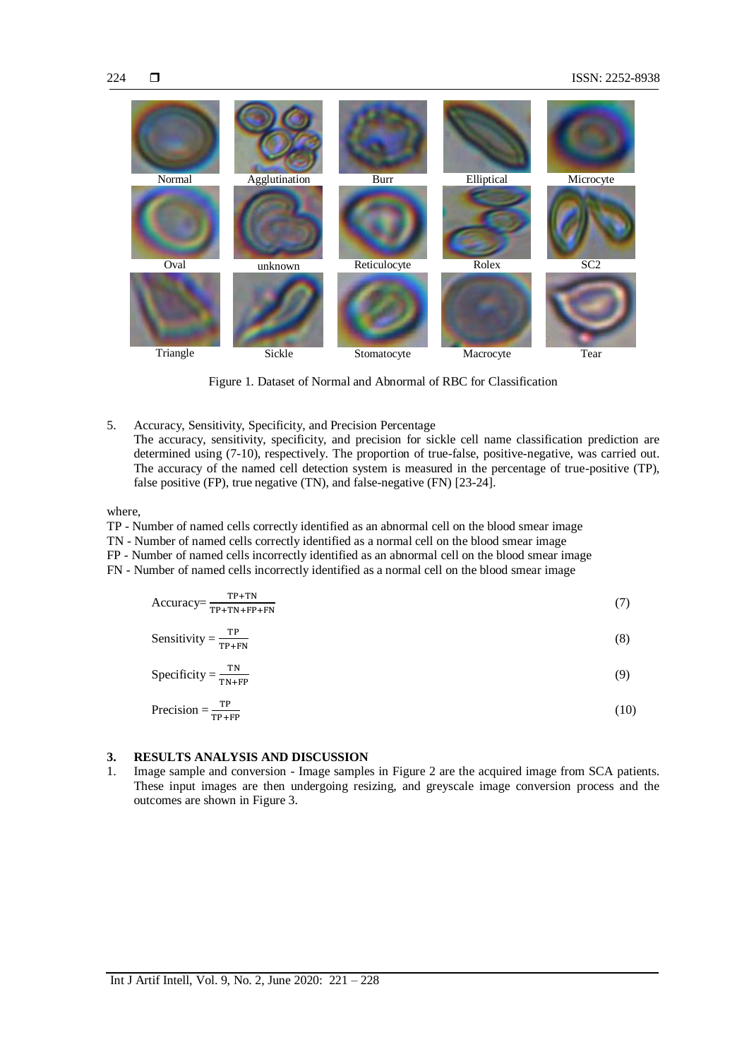

Figure 1. Dataset of Normal and Abnormal of RBC for Classification

5. Accuracy, Sensitivity, Specificity, and Precision Percentage The accuracy, sensitivity, specificity, and precision for sickle cell name classification prediction are determined using (7-10), respectively. The proportion of true-false, positive-negative, was carried out. The accuracy of the named cell detection system is measured in the percentage of true-positive (TP), false positive (FP), true negative (TN), and false-negative (FN) [23-24].

where,

- TP Number of named cells correctly identified as an abnormal cell on the blood smear image
- TN Number of named cells correctly identified as a normal cell on the blood smear image
- FP Number of named cells incorrectly identified as an abnormal cell on the blood smear image
- FN Number of named cells incorrectly identified as a normal cell on the blood smear image

$$
Accuracy = \frac{TP + TN}{TP + TN + FP + FN}
$$
 (7)

Sensitivity = 
$$
\frac{\text{TP}}{\text{TP+FN}}
$$
 (8)

$$
Specificity = \frac{TN}{TN + FP}
$$
 (9)

$$
Precision = \frac{TP}{TP + FP}
$$
 (10)

# **3. RESULTS ANALYSIS AND DISCUSSION**

1. Image sample and conversion - Image samples in Figure 2 are the acquired image from SCA patients. These input images are then undergoing resizing, and greyscale image conversion process and the outcomes are shown in Figure 3.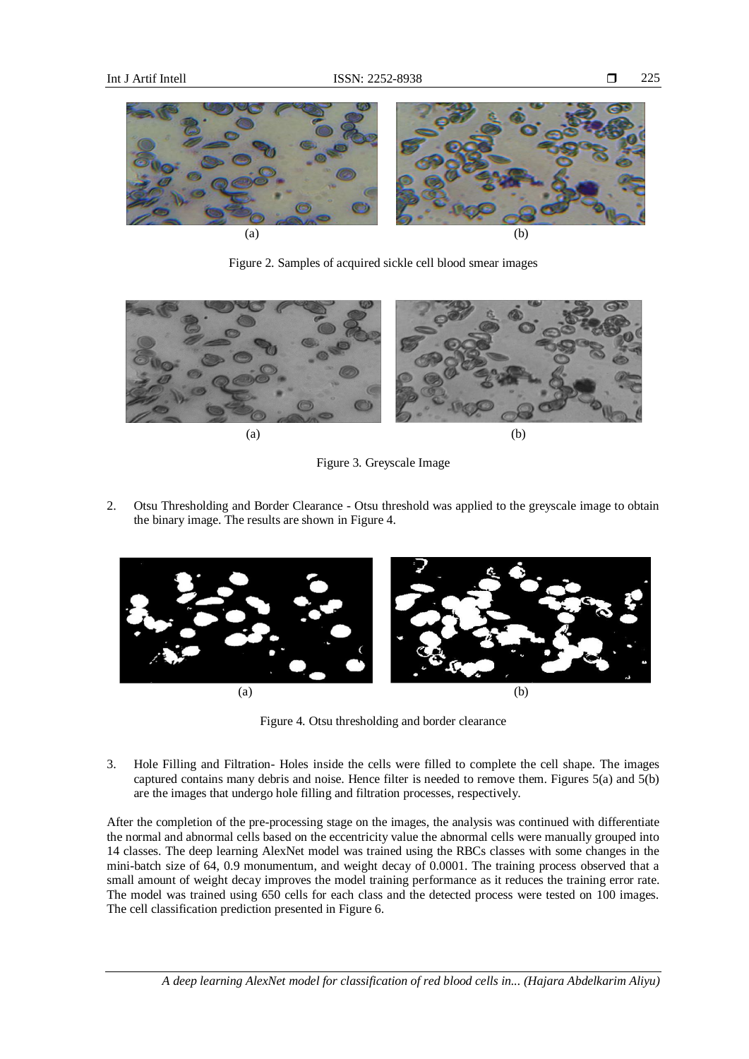

Figure 2. Samples of acquired sickle cell blood smear images





2. Otsu Thresholding and Border Clearance - Otsu threshold was applied to the greyscale image to obtain the binary image. The results are shown in Figure 4.



Figure 4. Otsu thresholding and border clearance

3. Hole Filling and Filtration- Holes inside the cells were filled to complete the cell shape. The images captured contains many debris and noise. Hence filter is needed to remove them. Figures 5(a) and 5(b) are the images that undergo hole filling and filtration processes, respectively.

After the completion of the pre-processing stage on the images, the analysis was continued with differentiate the normal and abnormal cells based on the eccentricity value the abnormal cells were manually grouped into 14 classes. The deep learning AlexNet model was trained using the RBCs classes with some changes in the mini-batch size of 64, 0.9 monumentum, and weight decay of 0.0001. The training process observed that a small amount of weight decay improves the model training performance as it reduces the training error rate. The model was trained using 650 cells for each class and the detected process were tested on 100 images. The cell classification prediction presented in Figure 6.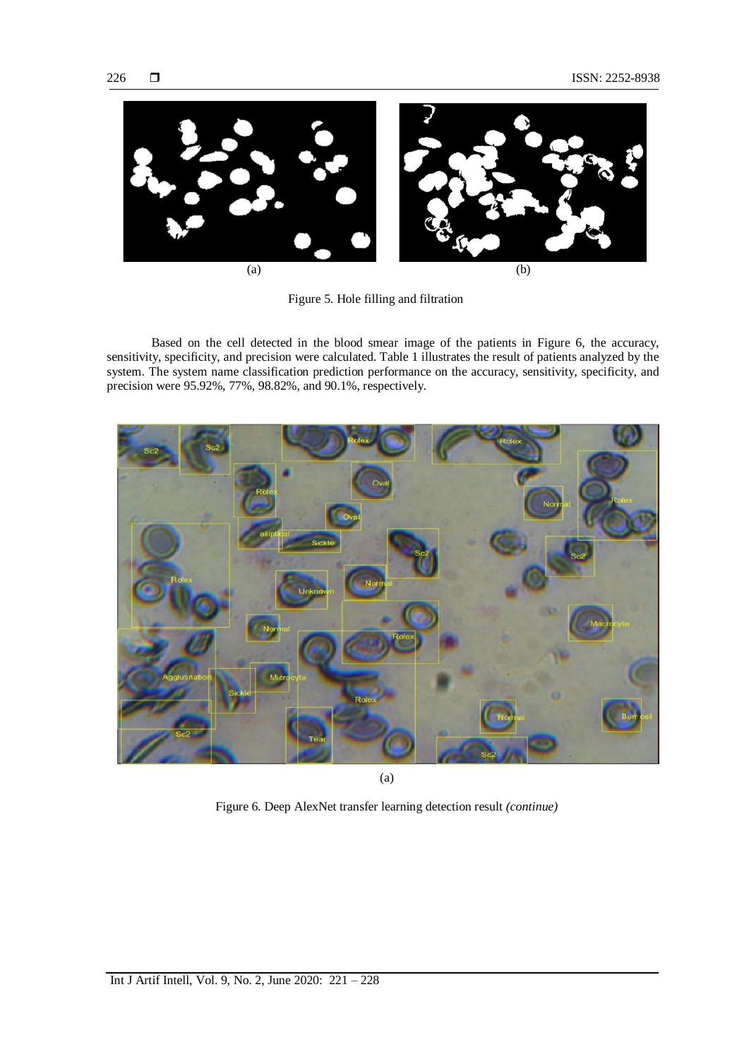

Figure 5. Hole filling and filtration

Based on the cell detected in the blood smear image of the patients in Figure 6, the accuracy, sensitivity, specificity, and precision were calculated. Table 1 illustrates the result of patients analyzed by the system. The system name classification prediction performance on the accuracy, sensitivity, specificity, and precision were 95.92%, 77%, 98.82%, and 90.1%, respectively.



(a)

Figure 6. Deep AlexNet transfer learning detection result *(continue)*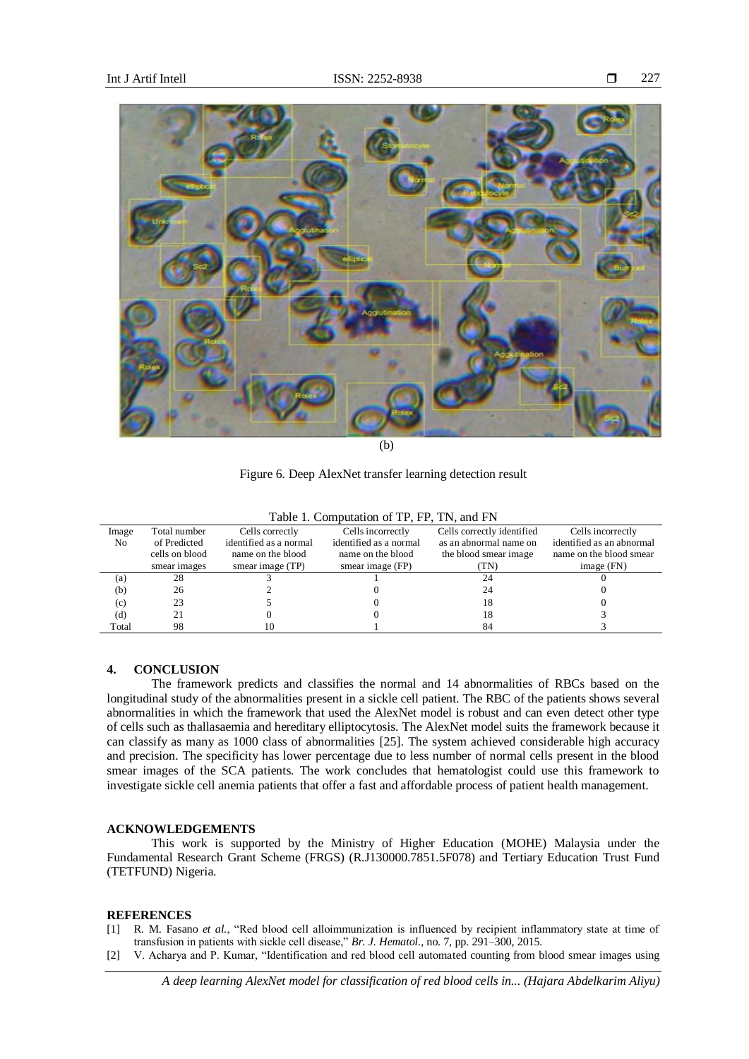

(b)

Figure 6. Deep AlexNet transfer learning detection result

|  | Table 1. Computation of TP, FP, TN, and FN |  |  |
|--|--------------------------------------------|--|--|
|  | $\sim$ $\sim$ $\sim$                       |  |  |

| Image          | Total number   | Cells correctly        | Cells incorrectly      | Cells correctly identified | Cells incorrectly         |
|----------------|----------------|------------------------|------------------------|----------------------------|---------------------------|
| N <sub>0</sub> | of Predicted   | identified as a normal | identified as a normal | as an abnormal name on     | identified as an abnormal |
|                | cells on blood | name on the blood      | name on the blood      | the blood smear image      | name on the blood smear   |
|                | smear images   | smear image (TP)       | smear image (FP)       | TN)                        | image (FN)                |
| (a)            | 28             |                        |                        | 24                         |                           |
| (b)            | 26             |                        |                        | 24                         |                           |
| (c)            | 23             |                        |                        | 18                         |                           |
| (d)            | 21             |                        |                        | 18                         |                           |
| Total          | 98             | 10                     |                        | 84                         |                           |

# **4. CONCLUSION**

The framework predicts and classifies the normal and 14 abnormalities of RBCs based on the longitudinal study of the abnormalities present in a sickle cell patient. The RBC of the patients shows several abnormalities in which the framework that used the AlexNet model is robust and can even detect other type of cells such as thallasaemia and hereditary elliptocytosis. The AlexNet model suits the framework because it can classify as many as 1000 class of abnormalities [25]. The system achieved considerable high accuracy and precision. The specificity has lower percentage due to less number of normal cells present in the blood smear images of the SCA patients. The work concludes that hematologist could use this framework to investigate sickle cell anemia patients that offer a fast and affordable process of patient health management.

## **ACKNOWLEDGEMENTS**

This work is supported by the Ministry of Higher Education (MOHE) Malaysia under the Fundamental Research Grant Scheme (FRGS) (R.J130000.7851.5F078) and Tertiary Education Trust Fund (TETFUND) Nigeria.

#### **REFERENCES**

- [1] R. M. Fasano *et al.*, "Red blood cell alloimmunization is influenced by recipient inflammatory state at time of transfusion in patients with sickle cell disease," *Br. J. Hematol.*, no. 7, pp. 291–300, 2015.
- [2] V. Acharya and P. Kumar, "Identification and red blood cell automated counting from blood smear images using